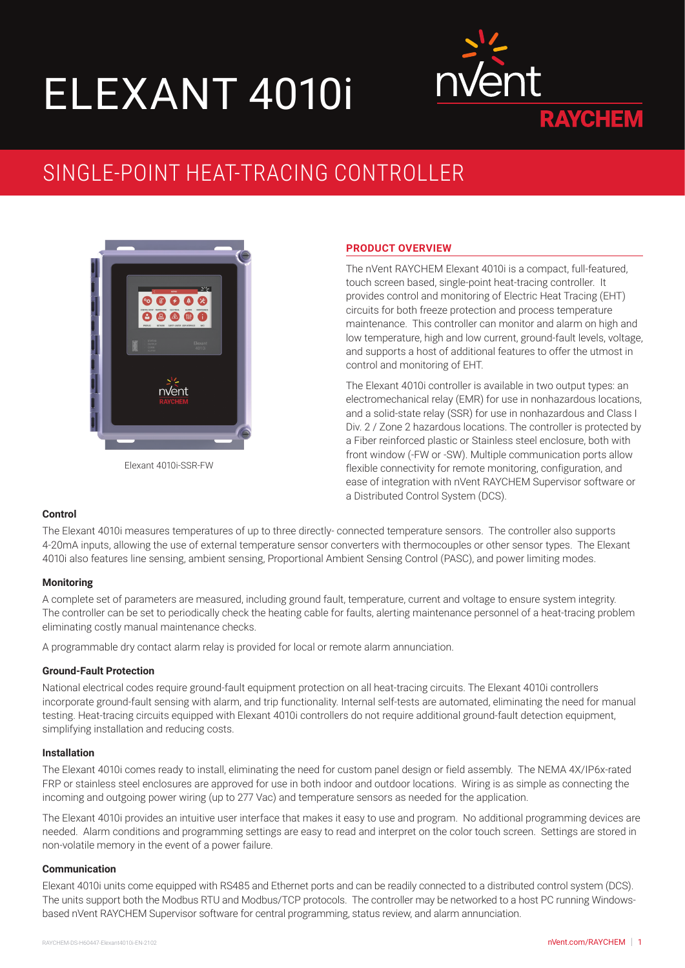# ELEXANT 4010i



# SINGLE-POINT HEAT-TRACING CONTROLLER



Elexant 4010i-SSR-FW

# **PRODUCT OVERVIEW**

The nVent RAYCHEM Elexant 4010i is a compact, full-featured, touch screen based, single-point heat-tracing controller. It provides control and monitoring of Electric Heat Tracing (EHT) circuits for both freeze protection and process temperature maintenance. This controller can monitor and alarm on high and low temperature, high and low current, ground-fault levels, voltage, and supports a host of additional features to offer the utmost in control and monitoring of EHT.

The Elexant 4010i controller is available in two output types: an electromechanical relay (EMR) for use in nonhazardous locations, and a solid-state relay (SSR) for use in nonhazardous and Class I Div. 2 / Zone 2 hazardous locations. The controller is protected by a Fiber reinforced plastic or Stainless steel enclosure, both with front window (-FW or -SW). Multiple communication ports allow flexible connectivity for remote monitoring, configuration, and ease of integration with nVent RAYCHEM Supervisor software or a Distributed Control System (DCS).

## **Control**

The Elexant 4010i measures temperatures of up to three directly- connected temperature sensors. The controller also supports 4-20mA inputs, allowing the use of external temperature sensor converters with thermocouples or other sensor types. The Elexant 4010i also features line sensing, ambient sensing, Proportional Ambient Sensing Control (PASC), and power limiting modes.

## **Monitoring**

A complete set of parameters are measured, including ground fault, temperature, current and voltage to ensure system integrity. The controller can be set to periodically check the heating cable for faults, alerting maintenance personnel of a heat-tracing problem eliminating costly manual maintenance checks.

A programmable dry contact alarm relay is provided for local or remote alarm annunciation.

## **Ground-Fault Protection**

National electrical codes require ground-fault equipment protection on all heat-tracing circuits. The Elexant 4010i controllers incorporate ground-fault sensing with alarm, and trip functionality. Internal self-tests are automated, eliminating the need for manual testing. Heat-tracing circuits equipped with Elexant 4010i controllers do not require additional ground-fault detection equipment, simplifying installation and reducing costs.

## **Installation**

The Elexant 4010i comes ready to install, eliminating the need for custom panel design or field assembly. The NEMA 4X/IP6x-rated FRP or stainless steel enclosures are approved for use in both indoor and outdoor locations. Wiring is as simple as connecting the incoming and outgoing power wiring (up to 277 Vac) and temperature sensors as needed for the application.

The Elexant 4010i provides an intuitive user interface that makes it easy to use and program. No additional programming devices are needed. Alarm conditions and programming settings are easy to read and interpret on the color touch screen. Settings are stored in non-volatile memory in the event of a power failure.

## **Communication**

Elexant 4010i units come equipped with RS485 and Ethernet ports and can be readily connected to a distributed control system (DCS). The units support both the Modbus RTU and Modbus/TCP protocols. The controller may be networked to a host PC running Windowsbased nVent RAYCHEM Supervisor software for central programming, status review, and alarm annunciation.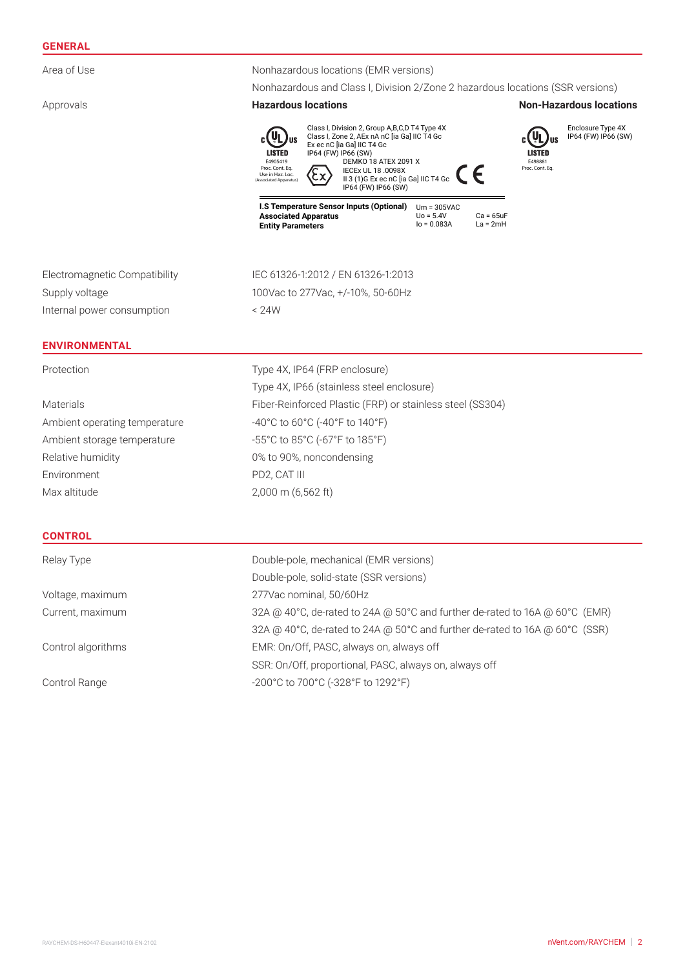# **GENERAL**

| Area of Use                   | Nonhazardous locations (EMR versions)                                                                                                                                                                                                                                                                                                                                                                                                                                   |  |  |
|-------------------------------|-------------------------------------------------------------------------------------------------------------------------------------------------------------------------------------------------------------------------------------------------------------------------------------------------------------------------------------------------------------------------------------------------------------------------------------------------------------------------|--|--|
|                               | Nonhazardous and Class I, Division 2/Zone 2 hazardous locations (SSR versions)                                                                                                                                                                                                                                                                                                                                                                                          |  |  |
| Approvals                     | <b>Hazardous locations</b><br><b>Non-Hazardous locations</b>                                                                                                                                                                                                                                                                                                                                                                                                            |  |  |
|                               | Class I, Division 2, Group A,B,C,D T4 Type 4X<br>Enclosure Type 4X<br>Class I, Zone 2, AEx nA nC [ia Ga] IIC T4 Gc<br>IP64 (FW) IP66 (SW)<br><u>ia</u> r<br>Ex ec nC [ia Ga] IIC T4 Gc<br><b>LISTED</b><br>LISTED<br>IP64 (FW) IP66 (SW)<br>E4905419<br><b>DEMKO 18 ATEX 2091 X</b><br>E498881<br>Proc. Cont. Eq.<br>Proc. Cont. Eq.<br>IECEx UL 18 .0098X<br>Use in Haz. Loc.<br>II 3 (1)G Ex ec nC [ia Ga] IIC T4 Gc<br>(Associated Apparatus)<br>IP64 (FW) IP66 (SW) |  |  |
|                               | I.S Temperature Sensor Inputs (Optional)<br>$Um = 305VAC$<br><b>Associated Apparatus</b><br>$U_0 = 5.4V$<br>$Ca = 65uF$<br>$I_0 = 0.083A$<br>$La = 2mH$<br><b>Entity Parameters</b>                                                                                                                                                                                                                                                                                     |  |  |
| Electromagnetic Compatibility | IEC 61326-1:2012 / EN 61326-1:2013                                                                                                                                                                                                                                                                                                                                                                                                                                      |  |  |
| Supply voltage                | 100Vac to 277Vac, +/-10%, 50-60Hz                                                                                                                                                                                                                                                                                                                                                                                                                                       |  |  |
| Internal power consumption    | < 24W                                                                                                                                                                                                                                                                                                                                                                                                                                                                   |  |  |
| <b>ENVIRONMENTAL</b>          |                                                                                                                                                                                                                                                                                                                                                                                                                                                                         |  |  |
| Protection                    | Type 4X, IP64 (FRP enclosure)                                                                                                                                                                                                                                                                                                                                                                                                                                           |  |  |
|                               | Type 4X, IP66 (stainless steel enclosure)                                                                                                                                                                                                                                                                                                                                                                                                                               |  |  |
| <b>Materials</b>              | Fiber-Reinforced Plastic (FRP) or stainless steel (SS304)                                                                                                                                                                                                                                                                                                                                                                                                               |  |  |
| Ambient operating temperature | -40°C to 60°C (-40°F to 140°F)                                                                                                                                                                                                                                                                                                                                                                                                                                          |  |  |
| Ambient storage temperature   | -55°C to 85°C (-67°F to 185°F)                                                                                                                                                                                                                                                                                                                                                                                                                                          |  |  |
| Relative humidity             | 0% to 90%, noncondensing                                                                                                                                                                                                                                                                                                                                                                                                                                                |  |  |
| Environment                   | PD2, CAT III                                                                                                                                                                                                                                                                                                                                                                                                                                                            |  |  |
| Max altitude                  | 2,000 m (6,562 ft)                                                                                                                                                                                                                                                                                                                                                                                                                                                      |  |  |
| <b>CONTROL</b>                |                                                                                                                                                                                                                                                                                                                                                                                                                                                                         |  |  |
| Relay Type                    | Double-pole, mechanical (EMR versions)                                                                                                                                                                                                                                                                                                                                                                                                                                  |  |  |
|                               | Double-pole, solid-state (SSR versions)                                                                                                                                                                                                                                                                                                                                                                                                                                 |  |  |
| Voltage, maximum              | 277Vac nominal, 50/60Hz                                                                                                                                                                                                                                                                                                                                                                                                                                                 |  |  |
| Current, maximum              | 32A @ 40°C, de-rated to 24A @ 50°C and further de-rated to 16A @ 60°C (EMR)                                                                                                                                                                                                                                                                                                                                                                                             |  |  |
|                               | 32A @ 40°C, de-rated to 24A @ 50°C and further de-rated to 16A @ 60°C (SSR)                                                                                                                                                                                                                                                                                                                                                                                             |  |  |
| Control algorithms            | EMR: On/Off, PASC, always on, always off                                                                                                                                                                                                                                                                                                                                                                                                                                |  |  |
|                               | SSR: On/Off, proportional, PASC, always on, always off                                                                                                                                                                                                                                                                                                                                                                                                                  |  |  |

Control Range  $-200^{\circ}$ C to 700°C (-328°F to 1292°F)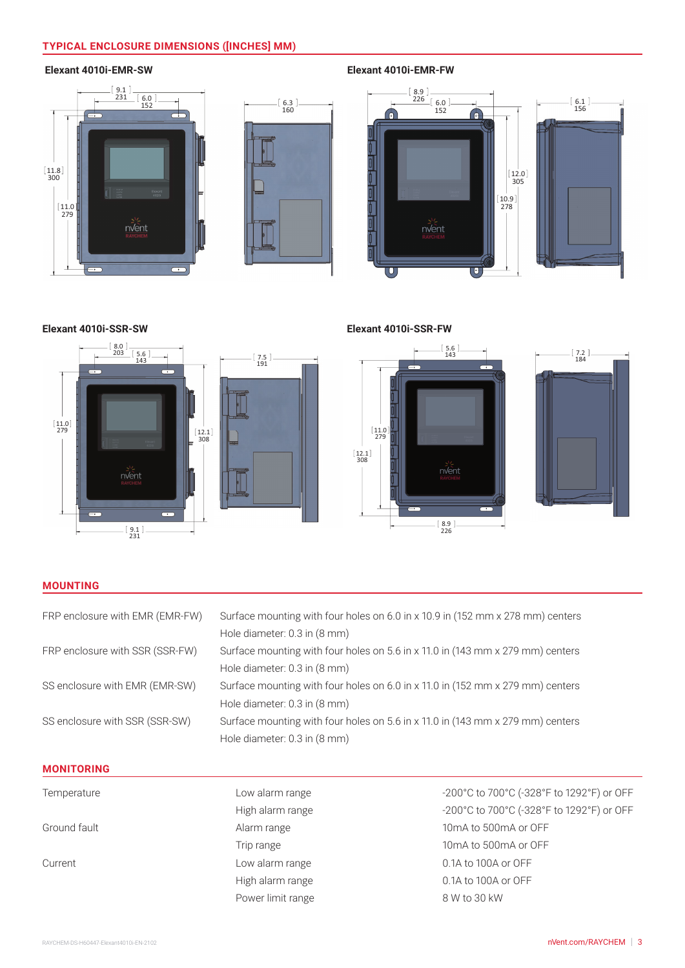# **TYPICAL ENCLOSURE DIMENSIONS ([INCHES] MM)**

# **Elexant 4010i-EMR-SW**





**Elexant 4010i-EMR-FW**



**Elexant 4010i-SSR-SW**



**Elexant 4010i-SSR-FW**



# **MOUNTING**

| FRP enclosure with EMR (EMR-FW) | Surface mounting with four holes on 6.0 in x 10.9 in (152 mm x 278 mm) centers |  |
|---------------------------------|--------------------------------------------------------------------------------|--|
|                                 | Hole diameter: 0.3 in (8 mm)                                                   |  |
| FRP enclosure with SSR (SSR-FW) | Surface mounting with four holes on 5.6 in x 11.0 in (143 mm x 279 mm) centers |  |
|                                 | Hole diameter: 0.3 in (8 mm)                                                   |  |
| SS enclosure with EMR (EMR-SW)  | Surface mounting with four holes on 6.0 in x 11.0 in (152 mm x 279 mm) centers |  |
|                                 | Hole diameter: 0.3 in (8 mm)                                                   |  |
| SS enclosure with SSR (SSR-SW)  | Surface mounting with four holes on 5.6 in x 11.0 in (143 mm x 279 mm) centers |  |
|                                 | Hole diameter: 0.3 in (8 mm)                                                   |  |
|                                 |                                                                                |  |

# **MONITORING**

| Temperature  | Low alarm range   | $-2($           |
|--------------|-------------------|-----------------|
|              | High alarm range  | $-2($           |
| Ground fault | Alarm range       | 10              |
|              | Trip range        | 10 <sup>1</sup> |
| Current      | Low alarm range   | 0.1             |
|              | High alarm range  | 0.1             |
|              | Power limit range | 81              |

00°C to 700°C (-328°F to 1292°F) or OFF 00°C to 700°C (-328°F to 1292°F) or OFF mA to 500mA or OFF mA to 500mA or OFF A to 100A or OFF IA to 100A or OFF W to 30 kW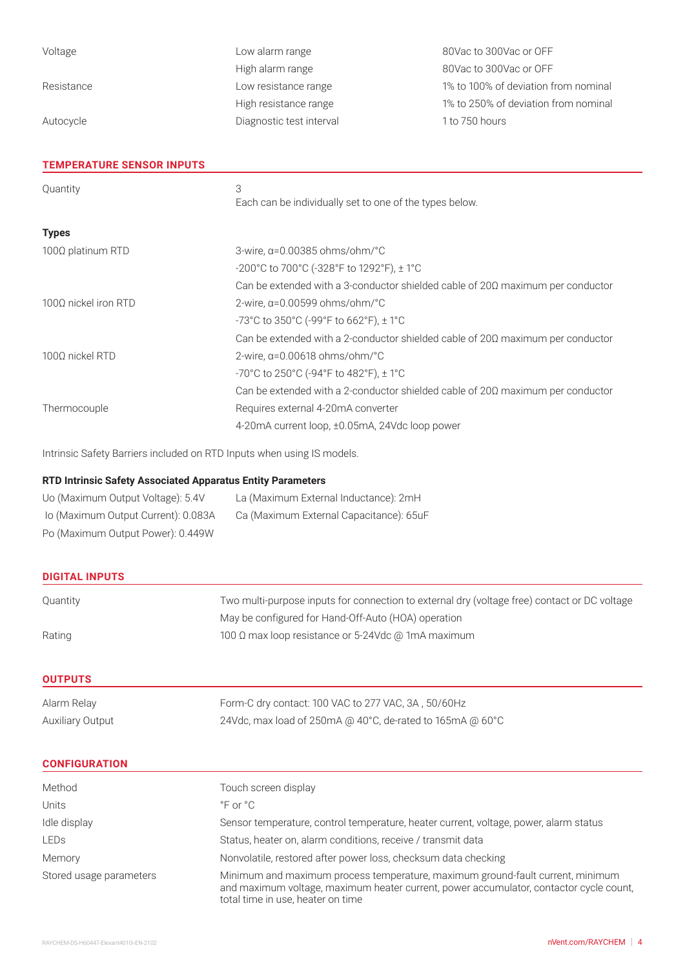| Voltage                          | Low alarm range                                                                       | 80Vac to 300Vac or OFF               |  |
|----------------------------------|---------------------------------------------------------------------------------------|--------------------------------------|--|
|                                  | High alarm range                                                                      | 80Vac to 300Vac or OFF               |  |
| Resistance                       | Low resistance range                                                                  | 1% to 100% of deviation from nominal |  |
|                                  | High resistance range                                                                 | 1% to 250% of deviation from nominal |  |
| Autocycle                        | Diagnostic test interval                                                              | 1 to 750 hours                       |  |
|                                  |                                                                                       |                                      |  |
| <b>TEMPERATURE SENSOR INPUTS</b> |                                                                                       |                                      |  |
| Quantity                         | 3                                                                                     |                                      |  |
|                                  | Each can be individually set to one of the types below.                               |                                      |  |
| <b>Types</b>                     |                                                                                       |                                      |  |
| 100Ω platinum RTD                | 3-wire, $\alpha$ =0.00385 ohms/ohm/°C                                                 |                                      |  |
|                                  | -200°C to 700°C (-328°F to 1292°F), ± 1°C                                             |                                      |  |
|                                  | Can be extended with a 3-conductor shielded cable of $20\Omega$ maximum per conductor |                                      |  |
| 1000 nickel iron RTD             | 2-wire, $\alpha$ =0.00599 ohms/ohm/°C                                                 |                                      |  |
|                                  | -73°C to 350°C (-99°F to 662°F), ± 1°C                                                |                                      |  |
|                                  | Can be extended with a 2-conductor shielded cable of $20\Omega$ maximum per conductor |                                      |  |

-70°C to 250°C (-94°F to 482°F), ± 1°C Can be extended with a 2-conductor shielded cable of 20Ω maximum per conductor Thermocouple Requires external 4-20mA converter 4-20mA current loop, ±0.05mA, 24Vdc loop power

Intrinsic Safety Barriers included on RTD Inputs when using IS models.

100Ω nickel RTD 2-wire, α=0.00618 ohms/ohm/°C

# **RTD Intrinsic Safety Associated Apparatus Entity Parameters**

| Uo (Maximum Output Voltage): 5.4V   | La (Maximum External Inductance): 2mH   |
|-------------------------------------|-----------------------------------------|
| lo (Maximum Output Current): 0.083A | Ca (Maximum External Capacitance): 65uF |
| Po (Maximum Output Power): 0.449W   |                                         |

| <b>DIGITAL INPUTS</b>   |                                                                                              |
|-------------------------|----------------------------------------------------------------------------------------------|
| Quantity                | Two multi-purpose inputs for connection to external dry (voltage free) contact or DC voltage |
|                         | May be configured for Hand-Off-Auto (HOA) operation                                          |
| Rating                  | 100 Ω max loop resistance or 5-24Vdc @ 1mA maximum                                           |
| <b>OUTPUTS</b>          |                                                                                              |
| Alarm Relay             | Form-C dry contact: 100 VAC to 277 VAC, 3A, 50/60Hz                                          |
| <b>Auxiliary Output</b> | 24Vdc, max load of 250mA @ 40°C, de-rated to 165mA @ 60°C                                    |

#### **CONFIGURATION**

| Method                  | Touch screen display                                                                                                                                                                                          |
|-------------------------|---------------------------------------------------------------------------------------------------------------------------------------------------------------------------------------------------------------|
| Units                   | $^{\circ}$ F or $^{\circ}$ C                                                                                                                                                                                  |
| Idle display            | Sensor temperature, control temperature, heater current, voltage, power, alarm status                                                                                                                         |
| LEDs                    | Status, heater on, alarm conditions, receive / transmit data                                                                                                                                                  |
| Memory                  | Nonvolatile, restored after power loss, checksum data checking                                                                                                                                                |
| Stored usage parameters | Minimum and maximum process temperature, maximum ground-fault current, minimum<br>and maximum voltage, maximum heater current, power accumulator, contactor cycle count,<br>total time in use, heater on time |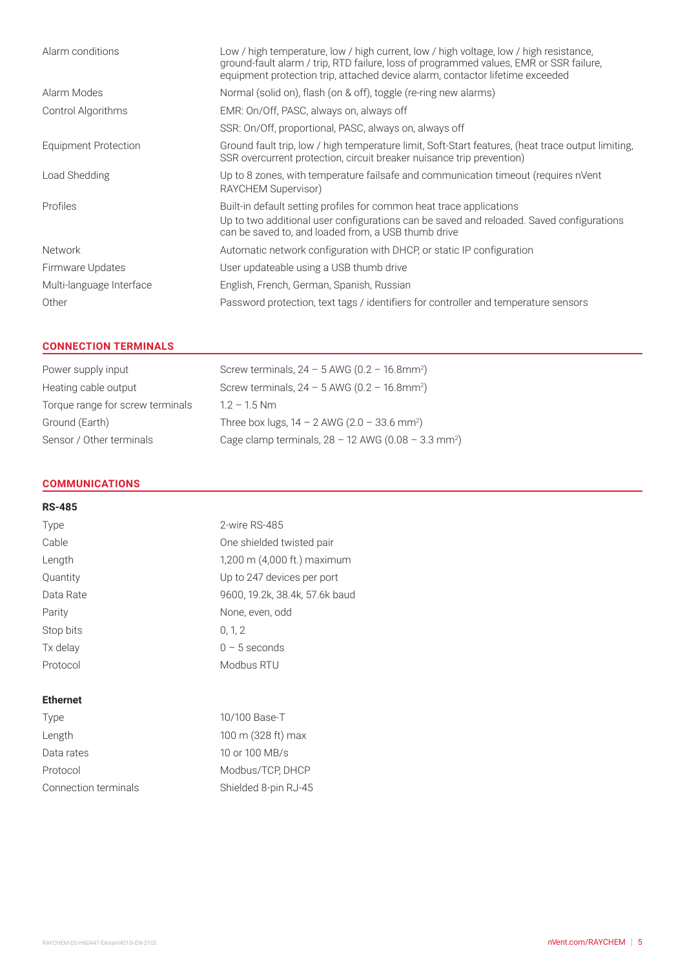| Low / high temperature, low / high current, low / high voltage, low / high resistance,<br>ground-fault alarm / trip, RTD failure, loss of programmed values, EMR or SSR failure,<br>equipment protection trip, attached device alarm, contactor lifetime exceeded |
|-------------------------------------------------------------------------------------------------------------------------------------------------------------------------------------------------------------------------------------------------------------------|
| Normal (solid on), flash (on & off), toggle (re-ring new alarms)                                                                                                                                                                                                  |
| EMR: On/Off, PASC, always on, always off                                                                                                                                                                                                                          |
| SSR: On/Off, proportional, PASC, always on, always off                                                                                                                                                                                                            |
| Ground fault trip, low / high temperature limit, Soft-Start features, (heat trace output limiting,<br>SSR overcurrent protection, circuit breaker nuisance trip prevention)                                                                                       |
| Up to 8 zones, with temperature failsafe and communication timeout (requires nVent<br>RAYCHEM Supervisor)                                                                                                                                                         |
| Built-in default setting profiles for common heat trace applications<br>Up to two additional user configurations can be saved and reloaded. Saved configurations<br>can be saved to, and loaded from, a USB thumb drive                                           |
| Automatic network configuration with DHCP, or static IP configuration                                                                                                                                                                                             |
| User updateable using a USB thumb drive                                                                                                                                                                                                                           |
| English, French, German, Spanish, Russian                                                                                                                                                                                                                         |
| Password protection, text tags / identifiers for controller and temperature sensors                                                                                                                                                                               |
|                                                                                                                                                                                                                                                                   |

# **CONNECTION TERMINALS**

| Power supply input               | Screw terminals, $24 - 5$ AWG (0.2 - 16.8mm <sup>2</sup> )        |
|----------------------------------|-------------------------------------------------------------------|
| Heating cable output             | Screw terminals, $24 - 5$ AWG (0.2 - 16.8mm <sup>2</sup> )        |
| Torque range for screw terminals | $1.2 - 1.5$ Nm                                                    |
| Ground (Earth)                   | Three box lugs, $14 - 2$ AWG ( $2.0 - 33.6$ mm <sup>2</sup> )     |
| Sensor / Other terminals         | Cage clamp terminals, $28 - 12$ AWG (0.08 - 3.3 mm <sup>2</sup> ) |

# **COMMUNICATIONS**

#### **RS-485**

| Type      | 2-wire RS-485                  |
|-----------|--------------------------------|
| Cable     | One shielded twisted pair      |
| Length    | 1,200 m (4,000 ft.) maximum    |
| Quantity  | Up to 247 devices per port     |
| Data Rate | 9600, 19.2k, 38.4k, 57.6k baud |
| Parity    | None, even, odd                |
| Stop bits | 0.12                           |
| Tx delay  | $0 - 5$ seconds                |
| Protocol  | Modbus RTU                     |
|           |                                |

# **Ethernet**

| Type                 | 10/100 Base-T        |
|----------------------|----------------------|
| Length               | 100 m (328 ft) max   |
| Data rates           | 10 or 100 MB/s       |
| Protocol             | Modbus/TCP, DHCP     |
| Connection terminals | Shielded 8-pin RJ-45 |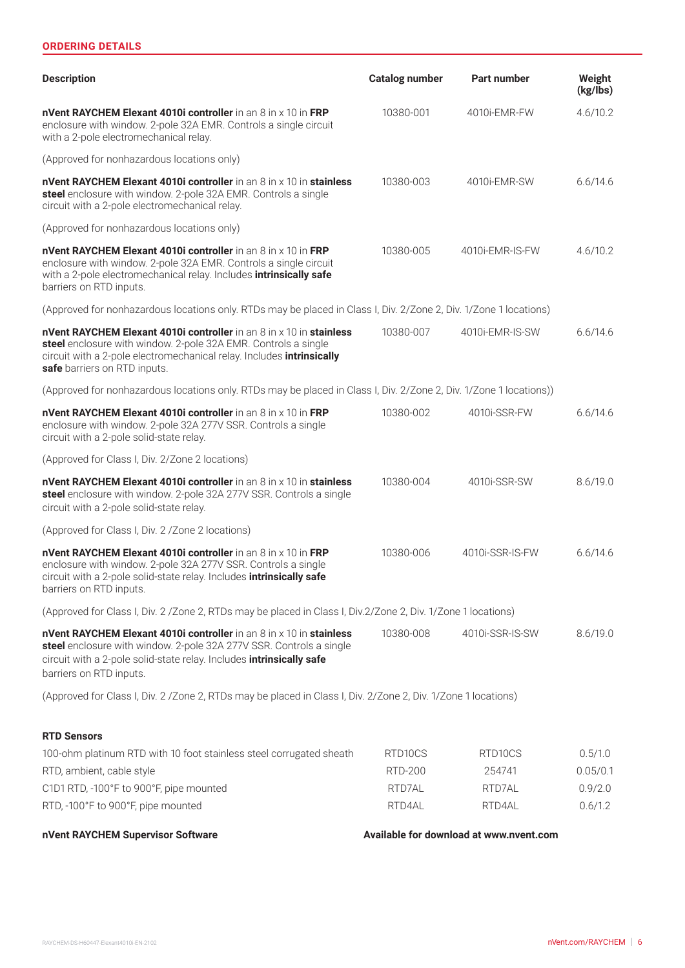# **ORDERING DETAILS**

| <b>Description</b>                                                                                                                                                                                                                             | <b>Catalog number</b> | Part number                             | Weight<br>(kg/lbs) |
|------------------------------------------------------------------------------------------------------------------------------------------------------------------------------------------------------------------------------------------------|-----------------------|-----------------------------------------|--------------------|
| nVent RAYCHEM Elexant 4010i controller in an 8 in x 10 in FRP<br>enclosure with window. 2-pole 32A EMR. Controls a single circuit<br>with a 2-pole electromechanical relay.                                                                    | 10380-001             | 4010i-EMR-FW                            | 4.6/10.2           |
| (Approved for nonhazardous locations only)                                                                                                                                                                                                     |                       |                                         |                    |
| nVent RAYCHEM Elexant 4010i controller in an 8 in x 10 in stainless<br>steel enclosure with window. 2-pole 32A EMR. Controls a single<br>circuit with a 2-pole electromechanical relay.                                                        | 10380-003             | 4010i-EMR-SW                            | 6.6/14.6           |
| (Approved for nonhazardous locations only)                                                                                                                                                                                                     |                       |                                         |                    |
| nVent RAYCHEM Elexant 4010i controller in an 8 in x 10 in FRP<br>enclosure with window. 2-pole 32A EMR. Controls a single circuit<br>with a 2-pole electromechanical relay. Includes intrinsically safe<br>barriers on RTD inputs.             | 10380-005             | 4010i-EMR-IS-FW                         | 4.6/10.2           |
| (Approved for nonhazardous locations only. RTDs may be placed in Class I, Div. 2/Zone 2, Div. 1/Zone 1 locations)                                                                                                                              |                       |                                         |                    |
| nVent RAYCHEM Elexant 4010i controller in an 8 in x 10 in stainless<br>steel enclosure with window. 2-pole 32A EMR. Controls a single<br>circuit with a 2-pole electromechanical relay. Includes intrinsically<br>safe barriers on RTD inputs. | 10380-007             | 4010i-EMR-IS-SW                         | 6.6/14.6           |
| (Approved for nonhazardous locations only. RTDs may be placed in Class I, Div. 2/Zone 2, Div. 1/Zone 1 locations))                                                                                                                             |                       |                                         |                    |
| nVent RAYCHEM Elexant 4010i controller in an 8 in x 10 in FRP<br>enclosure with window. 2-pole 32A 277V SSR. Controls a single<br>circuit with a 2-pole solid-state relay.                                                                     | 10380-002             | 4010i-SSR-FW                            | 6.6/14.6           |
| (Approved for Class I, Div. 2/Zone 2 locations)                                                                                                                                                                                                |                       |                                         |                    |
| nVent RAYCHEM Elexant 4010i controller in an 8 in x 10 in stainless<br>steel enclosure with window. 2-pole 32A 277V SSR. Controls a single<br>circuit with a 2-pole solid-state relay.                                                         | 10380-004             | 4010i-SSR-SW                            | 8.6/19.0           |
| (Approved for Class I, Div. 2 / Zone 2 locations)                                                                                                                                                                                              |                       |                                         |                    |
| nVent RAYCHEM Elexant 4010i controller in an 8 in x 10 in FRP<br>enclosure with window. 2-pole 32A 277V SSR. Controls a single<br>circuit with a 2-pole solid-state relay. Includes intrinsically safe<br>barriers on RTD inputs.              | 10380-006             | 4010i-SSR-IS-FW                         | 6.6/14.6           |
| (Approved for Class I, Div. 2 / Zone 2, RTDs may be placed in Class I, Div. 2/ Zone 2, Div. 1/ Zone 1 locations)                                                                                                                               |                       |                                         |                    |
| nVent RAYCHEM Elexant 4010i controller in an 8 in x 10 in stainless<br>steel enclosure with window. 2-pole 32A 277V SSR. Controls a single<br>circuit with a 2-pole solid-state relay. Includes intrinsically safe<br>barriers on RTD inputs.  | 10380-008             | 4010i-SSR-IS-SW                         | 8.6/19.0           |
| (Approved for Class I, Div. 2 / Zone 2, RTDs may be placed in Class I, Div. 2/ Zone 2, Div. 1/ Zone 1 locations)                                                                                                                               |                       |                                         |                    |
| <b>RTD Sensors</b>                                                                                                                                                                                                                             |                       |                                         |                    |
| 100-ohm platinum RTD with 10 foot stainless steel corrugated sheath                                                                                                                                                                            | RTD10CS               | RTD10CS                                 | 0.5/1.0            |
| RTD, ambient, cable style                                                                                                                                                                                                                      | <b>RTD-200</b>        | 254741                                  | 0.05/0.1           |
| C1D1 RTD, -100°F to 900°F, pipe mounted                                                                                                                                                                                                        | RTD7AL                | RTD7AL                                  | 0.9/2.0            |
| RTD, -100°F to 900°F, pipe mounted                                                                                                                                                                                                             | RTD4AL                | RTD4AL                                  | 0.6/1.2            |
| nVent RAYCHEM Supervisor Software                                                                                                                                                                                                              |                       | Available for download at www.nvent.com |                    |